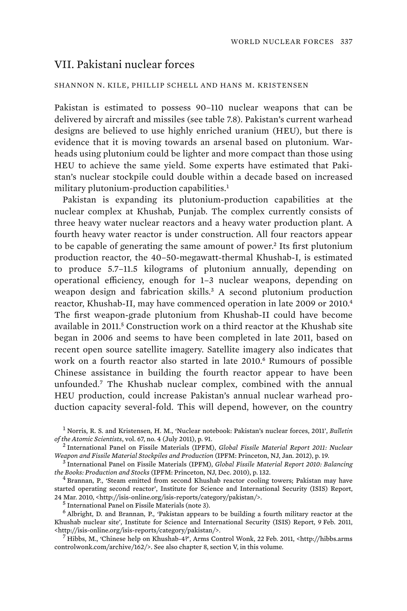## VII. Pakistani nuclear forces

## SHANNON N. KILE, PHILLIP SCHELL AND HANS M. KRISTENSEN

Pakistan is estimated to possess 90–110 nuclear weapons that can be delivered by aircraft and missiles (see table 7.8). Pakistan's current warhead designs are believed to use highly enriched uranium (HEU), but there is evidence that it is moving towards an arsenal based on plutonium. Warheads using plutonium could be lighter and more compact than those using HEU to achieve the same yield. Some experts have estimated that Pakistan's nuclear stockpile could double within a decade based on increased military plutonium-production capabilities.<sup>1</sup>

Pakistan is expanding its plutonium-production capabilities at the nuclear complex at Khushab, Punjab. The complex currently consists of three heavy water nuclear reactors and a heavy water production plant. A fourth heavy water reactor is under construction. All four reactors appear to be capable of generating the same amount of power.<sup>2</sup> Its first plutonium production reactor, the 40–50-megawatt-thermal Khushab-I, is estimated to produce 5.7–11.5 kilograms of plutonium annually, depending on operational efficiency, enough for 1–3 nuclear weapons, depending on weapon design and fabrication skills.<sup>3</sup> A second plutonium production reactor, Khushab-II, may have commenced operation in late 2009 or 2010.<sup>4</sup> The first weapon-grade plutonium from Khushab-II could have become available in 2011.<sup>5</sup> Construction work on a third reactor at the Khushab site began in 2006 and seems to have been completed in late 2011, based on recent open source satellite imagery. Satellite imagery also indicates that work on a fourth reactor also started in late 2010.<sup>6</sup> Rumours of possible Chinese assistance in building the fourth reactor appear to have been unfounded.<sup>7</sup> The Khushab nuclear complex, combined with the annual HEU production, could increase Pakistan's annual nuclear warhead production capacity several-fold. This will depend, however, on the country

 $<sup>5</sup>$  International Panel on Fissile Materials (note 3).</sup>

<sup>1</sup> Norris, R. S. and Kristensen, H. M., 'Nuclear notebook: Pakistan's nuclear forces, 2011', *Bulletin of the Atomic Scientists*, vol. 67, no. 4 (July 2011), p. 91. <sup>2</sup>

International Panel on Fissile Materials (IPFM), *Global Fissile Material Report 2011: Nuclear Weapon and Fissile Material Stockpiles and Production* (IPFM: Princeton, NJ, Jan. 2012), p. 19. <sup>3</sup>

International Panel on Fissile Materials (IPFM), *Global Fissile Material Report 2010: Balancing the Books: Production and Stocks* (IPFM: Princeton, NJ, Dec. 2010), p. 132. <sup>4</sup>

<sup>&</sup>lt;sup>4</sup> Brannan, P., 'Steam emitted from second Khushab reactor cooling towers; Pakistan may have started operating second reactor', Institute for Science and International Security (ISIS) Report, 24 Mar. 2010, <http://isis-online.org/isis-reports/category/pakistan/>. <sup>5</sup>

 $<sup>6</sup>$  Albright, D. and Brannan, P., 'Pakistan appears to be building a fourth military reactor at the</sup> Khushab nuclear site', Institute for Science and International Security (ISIS) Report, 9 Feb. 2011, <http://isis-online.org/isis-reports/category/pakistan/>. <sup>7</sup>

 $^7$  Hibbs, M., 'Chinese help on Khushab-4?', Arms Control Wonk, 22 Feb. 2011, <http://hibbs.arms controlwonk.com/archive/162/>. See also chapter 8, section V, in this volume.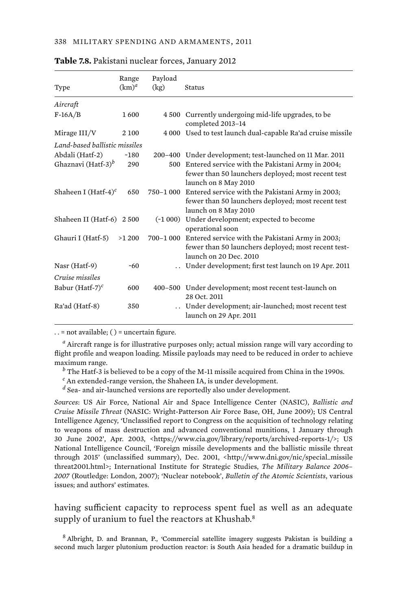|                                  | Range    | Payload |                                                                             |  |  |  |
|----------------------------------|----------|---------|-----------------------------------------------------------------------------|--|--|--|
| Type                             | $(km)^d$ | (kg)    | Status                                                                      |  |  |  |
| Aircraft                         |          |         |                                                                             |  |  |  |
| $F-16A/B$                        | 1600     |         | 4 500 Currently undergoing mid-life upgrades, to be<br>completed 2013-14    |  |  |  |
| Mirage III/V                     | 2 100    |         | 4 000 Used to test launch dual-capable Ra'ad cruise missile                 |  |  |  |
| Land-based ballistic missiles    |          |         |                                                                             |  |  |  |
| Abdali (Hatf-2)                  | $-180$   |         | 200-400 Under development; test-launched on 11 Mar. 2011                    |  |  |  |
| Ghaznavi (Hatf-3) <sup>b</sup>   | 290      |         | 500 Entered service with the Pakistani Army in 2004;                        |  |  |  |
|                                  |          |         | fewer than 50 launchers deployed; most recent test                          |  |  |  |
|                                  |          |         | launch on 8 May 2010                                                        |  |  |  |
| Shaheen I (Hatf-4) $\textdegree$ | 650      |         | 750–1 000 Entered service with the Pakistani Army in 2003;                  |  |  |  |
|                                  |          |         | fewer than 50 launchers deployed; most recent test                          |  |  |  |
|                                  |          |         | launch on 8 May 2010                                                        |  |  |  |
| Shaheen II (Hatf-6) 2 500        |          |         | (~1 000) Under development; expected to become                              |  |  |  |
|                                  |          |         | operational soon                                                            |  |  |  |
| Ghauri I (Hatf-5)                | >1200    |         | 700–1 000 Entered service with the Pakistani Army in 2003;                  |  |  |  |
|                                  |          |         | fewer than 50 launchers deployed; most recent test-                         |  |  |  |
|                                  |          |         | launch on 20 Dec. 2010                                                      |  |  |  |
| Nasr (Hatf-9)                    | ~50      |         | Under development; first test launch on 19 Apr. 2011                        |  |  |  |
| Cruise missiles                  |          |         |                                                                             |  |  |  |
| Babur (Hatf-7) $\textdegree$     | 600      |         | 400-500 Under development; most recent test-launch on                       |  |  |  |
|                                  |          |         | 28 Oct. 2011                                                                |  |  |  |
| Ra'ad (Hatf-8)                   | 350      |         | Under development; air-launched; most recent test<br>launch on 29 Apr. 2011 |  |  |  |

|  |  |  |  | <b>Table 7.8.</b> Pakistani nuclear forces, January 2012 |  |
|--|--|--|--|----------------------------------------------------------|--|
|  |  |  |  |                                                          |  |

. . = not available; ( ) = uncertain figure.

*a* Aircraft range is for illustrative purposes only; actual mission range will vary according to flight profile and weapon loading. Missile payloads may need to be reduced in order to achieve maximum range.

 $^b$  The Hatf-3 is believed to be a copy of the M-11 missile acquired from China in the 1990s.

*c* An extended-range version, the Shaheen IA, is under development.

*d* Sea- and air-launched versions are reportedly also under development.

*Sources*: US Air Force, National Air and Space Intelligence Center (NASIC), *Ballistic and Cruise Missile Threat* (NASIC: Wright-Patterson Air Force Base, OH, June 2009); US Central Intelligence Agency, 'Unclassified report to Congress on the acquisition of technology relating to weapons of mass destruction and advanced conventional munitions, 1 January through 30 June 2002', Apr. 2003, <https://www.cia.gov/library/reports/archived-reports-1/>; US National Intelligence Council, 'Foreign missile developments and the ballistic missile threat through 2015' (unclassified summary), Dec. 2001, <http://www.dni.gov/nic/special\_missile threat2001.html>; International Institute for Strategic Studies, *The Military Balance 2006– 2007* (Routledge: London, 2007); 'Nuclear notebook', *Bulletin of the Atomic Scientists*, various issues; and authors' estimates.

having sufficient capacity to reprocess spent fuel as well as an adequate supply of uranium to fuel the reactors at Khushab.<sup>8</sup>

<sup>8</sup> Albright, D. and Brannan, P., 'Commercial satellite imagery suggests Pakistan is building a second much larger plutonium production reactor: is South Asia headed for a dramatic buildup in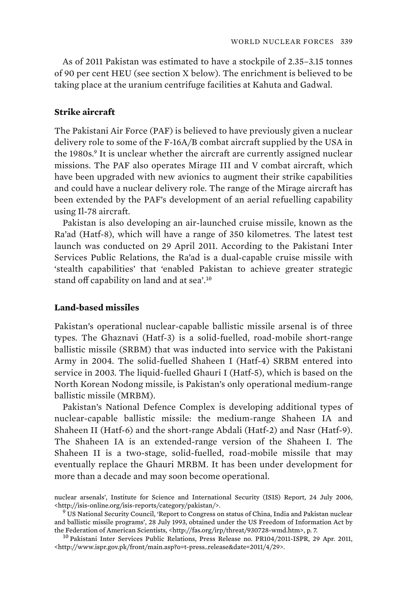As of 2011 Pakistan was estimated to have a stockpile of 2.35–3.15 tonnes of 90 per cent HEU (see section X below). The enrichment is believed to be taking place at the uranium centrifuge facilities at Kahuta and Gadwal.

## **Strike aircraft**

The Pakistani Air Force (PAF) is believed to have previously given a nuclear delivery role to some of the F-16A/B combat aircraft supplied by the USA in the 1980s.<sup>9</sup> It is unclear whether the aircraft are currently assigned nuclear missions. The PAF also operates Mirage III and V combat aircraft, which have been upgraded with new avionics to augment their strike capabilities and could have a nuclear delivery role. The range of the Mirage aircraft has been extended by the PAF's development of an aerial refuelling capability using Il-78 aircraft.

Pakistan is also developing an air-launched cruise missile, known as the Ra'ad (Hatf-8), which will have a range of 350 kilometres. The latest test launch was conducted on 29 April 2011. According to the Pakistani Inter Services Public Relations, the Ra'ad is a dual-capable cruise missile with 'stealth capabilities' that 'enabled Pakistan to achieve greater strategic stand off capability on land and at sea'.<sup>10</sup>

## **Land-based missiles**

Pakistan's operational nuclear-capable ballistic missile arsenal is of three types. The Ghaznavi (Hatf-3) is a solid-fuelled, road-mobile short-range ballistic missile (SRBM) that was inducted into service with the Pakistani Army in 2004. The solid-fuelled Shaheen I (Hatf-4) SRBM entered into service in 2003. The liquid-fuelled Ghauri I (Hatf-5), which is based on the North Korean Nodong missile, is Pakistan's only operational medium-range ballistic missile (MRBM).

Pakistan's National Defence Complex is developing additional types of nuclear-capable ballistic missile: the medium-range Shaheen IA and Shaheen II (Hatf-6) and the short-range Abdali (Hatf-2) and Nasr (Hatf-9). The Shaheen IA is an extended-range version of the Shaheen I. The Shaheen II is a two-stage, solid-fuelled, road-mobile missile that may eventually replace the Ghauri MRBM. It has been under development for more than a decade and may soon become operational.

nuclear arsenals', Institute for Science and International Security (ISIS) Report, 24 July 2006, <http://isis-online.org/isis-reports/category/pakistan/>. <sup>9</sup>

 $9$  US National Security Council, 'Report to Congress on status of China, India and Pakistan nuclear and ballistic missile programs', 28 July 1993, obtained under the US Freedom of Information Act by the Federation of American Scientists, <http://fas.org/irp/threat/930728-wmd.htm>, p. 7.  $^{10}$  Pakistani Inter Services Public Relations, Press Release no. PR104/2011-ISPR, 29 Apr. 2011,

<sup>&</sup>lt;http://www.ispr.gov.pk/front/main.asp?o=t-press\_release&date=2011/4/29>.